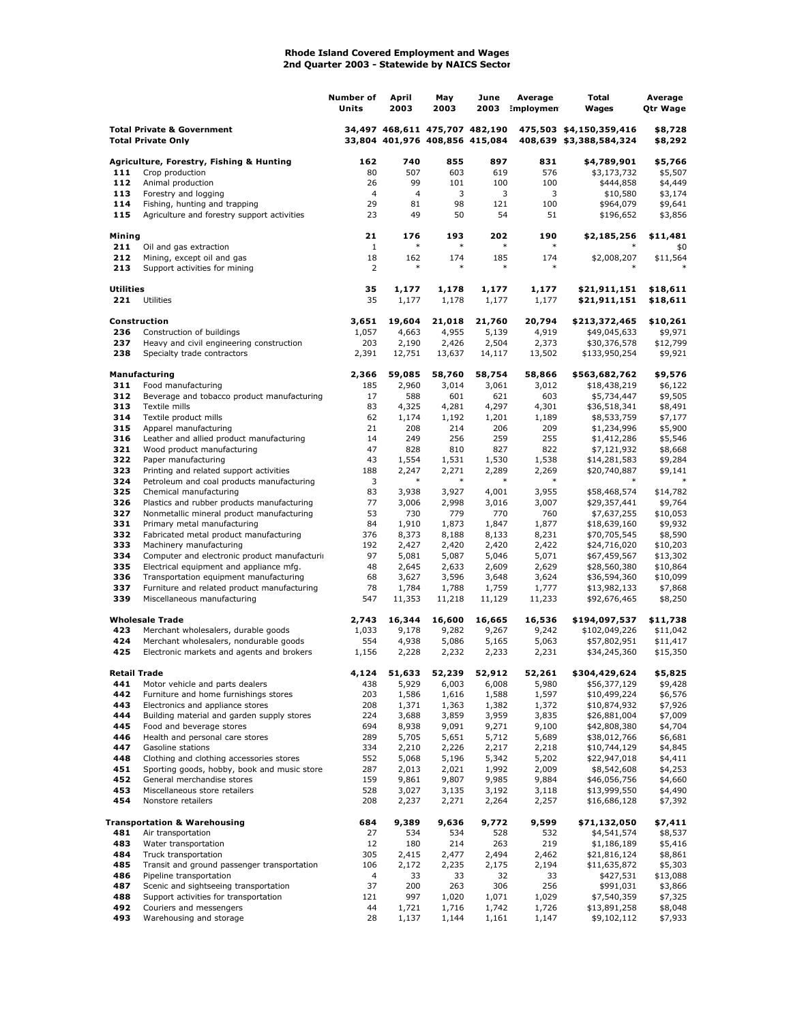## **Rhode Island Covered Employment and Wages 2nd Quarter 2003 - Statewide by NAICS Sector**

|                                                                    |                                                                              | Number of<br>Units | April<br>2003   | May<br>2003                                                      | June<br>2003    | Average<br>:mploymen | Total<br>Wages                                     | Average<br><b>Qtr Wage</b> |
|--------------------------------------------------------------------|------------------------------------------------------------------------------|--------------------|-----------------|------------------------------------------------------------------|-----------------|----------------------|----------------------------------------------------|----------------------------|
| <b>Total Private &amp; Government</b><br><b>Total Private Only</b> |                                                                              |                    |                 | 34,497 468,611 475,707 482,190<br>33,804 401,976 408,856 415,084 |                 |                      | 475,503 \$4,150,359,416<br>408,639 \$3,388,584,324 | \$8,728<br>\$8,292         |
|                                                                    | Agriculture, Forestry, Fishing & Hunting                                     | 162                | 740             | 855                                                              | 897             | 831                  | \$4,789,901                                        | \$5,766                    |
| 111                                                                | Crop production                                                              | 80                 | 507             | 603                                                              | 619             | 576                  | \$3,173,732                                        | \$5,507                    |
| 112                                                                | Animal production                                                            | 26                 | 99              | 101                                                              | 100             | 100                  | \$444,858                                          | \$4,449                    |
| 113                                                                | Forestry and logging                                                         | $\overline{4}$     | $\overline{4}$  | 3                                                                | 3               | 3                    | \$10,580                                           | \$3,174                    |
| 114<br>115                                                         | Fishing, hunting and trapping<br>Agriculture and forestry support activities | 29<br>23           | 81<br>49        | 98<br>50                                                         | 121<br>54       | 100<br>51            | \$964,079<br>\$196,652                             | \$9,641<br>\$3,856         |
|                                                                    |                                                                              |                    |                 |                                                                  |                 |                      |                                                    |                            |
| Mining                                                             |                                                                              | 21                 | 176             | 193                                                              | 202             | 190                  | \$2,185,256                                        | \$11,481                   |
| 211                                                                | Oil and gas extraction                                                       | $\mathbf{1}$       | $\ast$          | $\ast$                                                           | ∗               | $\ast$               |                                                    | \$0                        |
| 212                                                                | Mining, except oil and gas                                                   | 18                 | 162             | 174                                                              | 185             | 174                  | \$2,008,207                                        | \$11,564                   |
| 213                                                                | Support activities for mining                                                | 2                  | $\ast$          | $\ast$                                                           | $\ast$          | ∗                    |                                                    | $\ast$                     |
| <b>Utilities</b>                                                   |                                                                              | 35                 | 1,177           | 1,178                                                            | 1,177           | 1,177                | \$21,911,151                                       | \$18,611                   |
| 221                                                                | Utilities                                                                    | 35                 | 1,177           | 1,178                                                            | 1,177           | 1,177                | \$21,911,151                                       | \$18,611                   |
|                                                                    |                                                                              |                    |                 |                                                                  |                 |                      |                                                    |                            |
|                                                                    | Construction                                                                 | 3,651              | 19,604          | 21,018                                                           | 21,760          | 20,794               | \$213,372,465                                      | \$10,261                   |
| 236                                                                | Construction of buildings                                                    | 1,057              | 4,663           | 4,955                                                            | 5,139           | 4,919                | \$49,045,633                                       | \$9,971                    |
| 237                                                                | Heavy and civil engineering construction                                     | 203                | 2,190           | 2,426                                                            | 2,504           | 2,373                | \$30,376,578                                       | \$12,799                   |
| 238                                                                | Specialty trade contractors                                                  | 2,391              | 12,751          | 13,637                                                           | 14,117          | 13,502               | \$133,950,254                                      | \$9,921                    |
|                                                                    | Manufacturing                                                                | 2,366              | 59,085          | 58,760                                                           | 58,754          | 58,866               | \$563,682,762                                      | \$9,576                    |
| 311                                                                | Food manufacturing                                                           | 185                | 2,960           | 3,014                                                            | 3,061           | 3,012                | \$18,438,219                                       | \$6,122                    |
| 312                                                                | Beverage and tobacco product manufacturing                                   | 17                 | 588             | 601                                                              | 621             | 603                  | \$5,734,447                                        | \$9,505                    |
| 313                                                                | Textile mills                                                                | 83                 | 4,325           | 4,281                                                            | 4,297           | 4,301                | \$36,518,341                                       | \$8,491                    |
| 314                                                                | Textile product mills                                                        | 62                 | 1,174           | 1,192                                                            | 1,201           | 1,189                | \$8,533,759                                        | \$7,177                    |
| 315                                                                | Apparel manufacturing                                                        | 21                 | 208             | 214                                                              | 206             | 209                  | \$1,234,996                                        | \$5,900                    |
| 316                                                                | Leather and allied product manufacturing                                     | 14                 | 249             | 256                                                              | 259             | 255                  | \$1,412,286                                        | \$5,546                    |
| 321                                                                | Wood product manufacturing                                                   | 47                 | 828             | 810                                                              | 827             | 822                  | \$7,121,932                                        | \$8,668                    |
| 322                                                                | Paper manufacturing                                                          | 43                 | 1,554           | 1,531                                                            | 1,530           | 1,538                | \$14,281,583                                       | \$9,284                    |
| 323<br>324                                                         | Printing and related support activities                                      | 188<br>3           | 2,247<br>$\ast$ | 2,271<br>$\ast$                                                  | 2,289<br>$\ast$ | 2,269<br>$\ast$      | \$20,740,887<br>$\ast$                             | \$9,141                    |
| 325                                                                | Petroleum and coal products manufacturing<br>Chemical manufacturing          | 83                 | 3,938           | 3,927                                                            | 4,001           | 3,955                | \$58,468,574                                       | \$14,782                   |
| 326                                                                | Plastics and rubber products manufacturing                                   | 77                 | 3,006           | 2,998                                                            | 3,016           | 3,007                | \$29,357,441                                       | \$9,764                    |
| 327                                                                | Nonmetallic mineral product manufacturing                                    | 53                 | 730             | 779                                                              | 770             | 760                  | \$7,637,255                                        | \$10,053                   |
| 331                                                                | Primary metal manufacturing                                                  | 84                 | 1,910           | 1,873                                                            | 1,847           | 1,877                | \$18,639,160                                       | \$9,932                    |
| 332                                                                | Fabricated metal product manufacturing                                       | 376                | 8,373           | 8,188                                                            | 8,133           | 8,231                | \$70,705,545                                       | \$8,590                    |
| 333                                                                | Machinery manufacturing                                                      | 192                | 2,427           | 2,420                                                            | 2,420           | 2,422                | \$24,716,020                                       | \$10,203                   |
| 334                                                                | Computer and electronic product manufacturi                                  | 97                 | 5,081           | 5,087                                                            | 5,046           | 5,071                | \$67,459,567                                       | \$13,302                   |
| 335                                                                | Electrical equipment and appliance mfg.                                      | 48                 | 2,645           | 2,633                                                            | 2,609           | 2,629                | \$28,560,380                                       | \$10,864                   |
| 336                                                                | Transportation equipment manufacturing                                       | 68                 | 3,627           | 3,596                                                            | 3,648           | 3,624                | \$36,594,360                                       | \$10,099                   |
| 337<br>339                                                         | Furniture and related product manufacturing<br>Miscellaneous manufacturing   | 78<br>547          | 1,784<br>11,353 | 1,788<br>11,218                                                  | 1,759<br>11,129 | 1,777<br>11,233      | \$13,982,133<br>\$92,676,465                       | \$7,868<br>\$8,250         |
|                                                                    |                                                                              |                    |                 |                                                                  |                 |                      |                                                    |                            |
|                                                                    | <b>Wholesale Trade</b>                                                       | 2,743              | 16,344          | 16,600                                                           | 16,665          | 16,536               | \$194,097,537                                      | \$11,738                   |
| 423                                                                | Merchant wholesalers, durable goods                                          | 1,033              | 9,178           | 9,282                                                            | 9,267           | 9,242                | \$102,049,226                                      | \$11,042                   |
| 424                                                                | Merchant wholesalers, nondurable goods                                       | 554                | 4,938           | 5,086                                                            | 5,165           | 5,063                | \$57,802,951                                       | \$11,417                   |
| 425                                                                | Electronic markets and agents and brokers                                    | 1,156              | 2,228           | 2,232                                                            | 2,233           | 2,231                | \$34,245,360                                       | \$15,350                   |
|                                                                    |                                                                              |                    |                 |                                                                  |                 |                      |                                                    |                            |
| Retail Trade<br>441                                                | Motor vehicle and parts dealers                                              | 4,124<br>438       | 51,633<br>5,929 | 52,239<br>6,003                                                  | 52,912<br>6,008 | 52,261<br>5,980      | \$304,429,624<br>\$56,377,129                      | \$5,825<br>\$9,428         |
| 442                                                                | Furniture and home furnishings stores                                        | 203                | 1,586           | 1,616                                                            | 1,588           | 1,597                | \$10,499,224                                       | \$6,576                    |
| 443                                                                | Electronics and appliance stores                                             | 208                | 1,371           | 1,363                                                            | 1,382           | 1,372                | \$10,874,932                                       | \$7,926                    |
| 444                                                                | Building material and garden supply stores                                   | 224                | 3,688           | 3,859                                                            | 3,959           | 3,835                | \$26,881,004                                       | \$7,009                    |
| 445                                                                | Food and beverage stores                                                     | 694                | 8,938           | 9,091                                                            | 9,271           | 9,100                | \$42,808,380                                       | \$4,704                    |
| 446                                                                | Health and personal care stores                                              | 289                | 5,705           | 5,651                                                            | 5,712           | 5,689                | \$38,012,766                                       | \$6,681                    |
| 447                                                                | Gasoline stations                                                            | 334                | 2,210           | 2,226                                                            | 2,217           | 2,218                | \$10,744,129                                       | \$4,845                    |
| 448                                                                | Clothing and clothing accessories stores                                     | 552                | 5,068           | 5,196                                                            | 5,342           | 5,202                | \$22,947,018                                       | \$4,411                    |
| 451                                                                | Sporting goods, hobby, book and music store                                  | 287                | 2,013           | 2,021                                                            | 1,992           | 2,009                | \$8,542,608                                        | \$4,253                    |
| 452                                                                | General merchandise stores                                                   | 159                | 9,861           | 9,807                                                            | 9,985           | 9,884                | \$46,056,756                                       | \$4,660                    |
| 453<br>454                                                         | Miscellaneous store retailers<br>Nonstore retailers                          | 528<br>208         | 3,027<br>2,237  | 3,135<br>2,271                                                   | 3,192<br>2,264  | 3,118<br>2,257       | \$13,999,550<br>\$16,686,128                       | \$4,490<br>\$7,392         |
|                                                                    |                                                                              |                    |                 |                                                                  |                 |                      |                                                    |                            |
|                                                                    | Transportation & Warehousing                                                 | 684                | 9,389           | 9,636                                                            | 9,772           | 9,599                | \$71,132,050                                       | \$7,411                    |
| 481                                                                | Air transportation                                                           | 27                 | 534             | 534                                                              | 528             | 532                  | \$4,541,574                                        | \$8,537                    |
| 483                                                                | Water transportation                                                         | 12                 | 180             | 214                                                              | 263             | 219                  | \$1,186,189                                        | \$5,416                    |
| 484                                                                | Truck transportation                                                         | 305                | 2,415           | 2,477                                                            | 2,494           | 2,462                | \$21,816,124                                       | \$8,861                    |
| 485                                                                | Transit and ground passenger transportation                                  | 106                | 2,172           | 2,235                                                            | 2,175           | 2,194                | \$11,635,872                                       | \$5,303                    |
| 486                                                                | Pipeline transportation                                                      | 4                  | 33              | 33                                                               | 32              | 33                   | \$427,531                                          | \$13,088                   |
| 487<br>488                                                         | Scenic and sightseeing transportation                                        | 37                 | 200<br>997      | 263                                                              | 306             | 256                  | \$991,031<br>\$7,540,359                           | \$3,866                    |
| 492                                                                | Support activities for transportation<br>Couriers and messengers             | 121<br>44          | 1,721           | 1,020<br>1,716                                                   | 1,071<br>1,742  | 1,029<br>1,726       | \$13,891,258                                       | \$7,325<br>\$8,048         |
| 493                                                                | Warehousing and storage                                                      | 28                 | 1,137           | 1,144                                                            | 1,161           | 1,147                | \$9,102,112                                        | \$7,933                    |
|                                                                    |                                                                              |                    |                 |                                                                  |                 |                      |                                                    |                            |